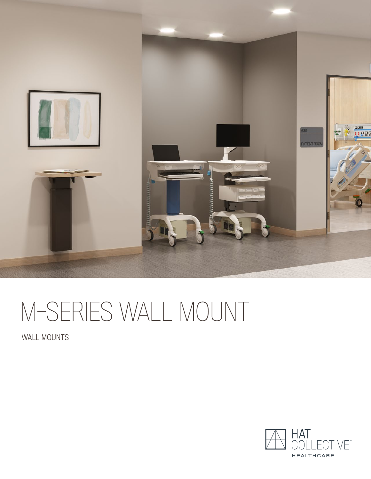

# M-SERIES WALL MOUNT

WALL MOUNTS